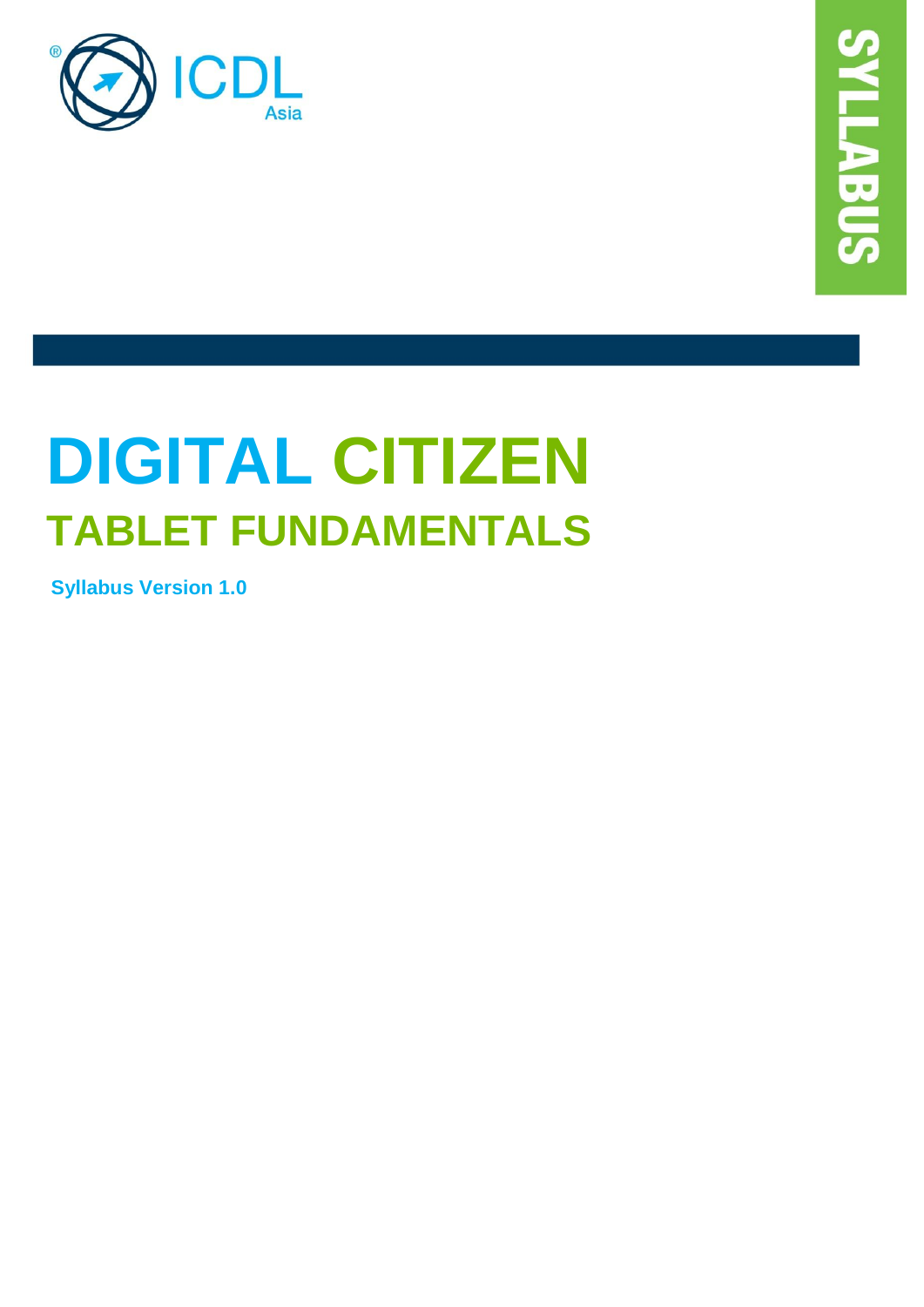

# **DIGITAL CITIZEN TABLET FUNDAMENTALS**

**Syllabus Version 1.0**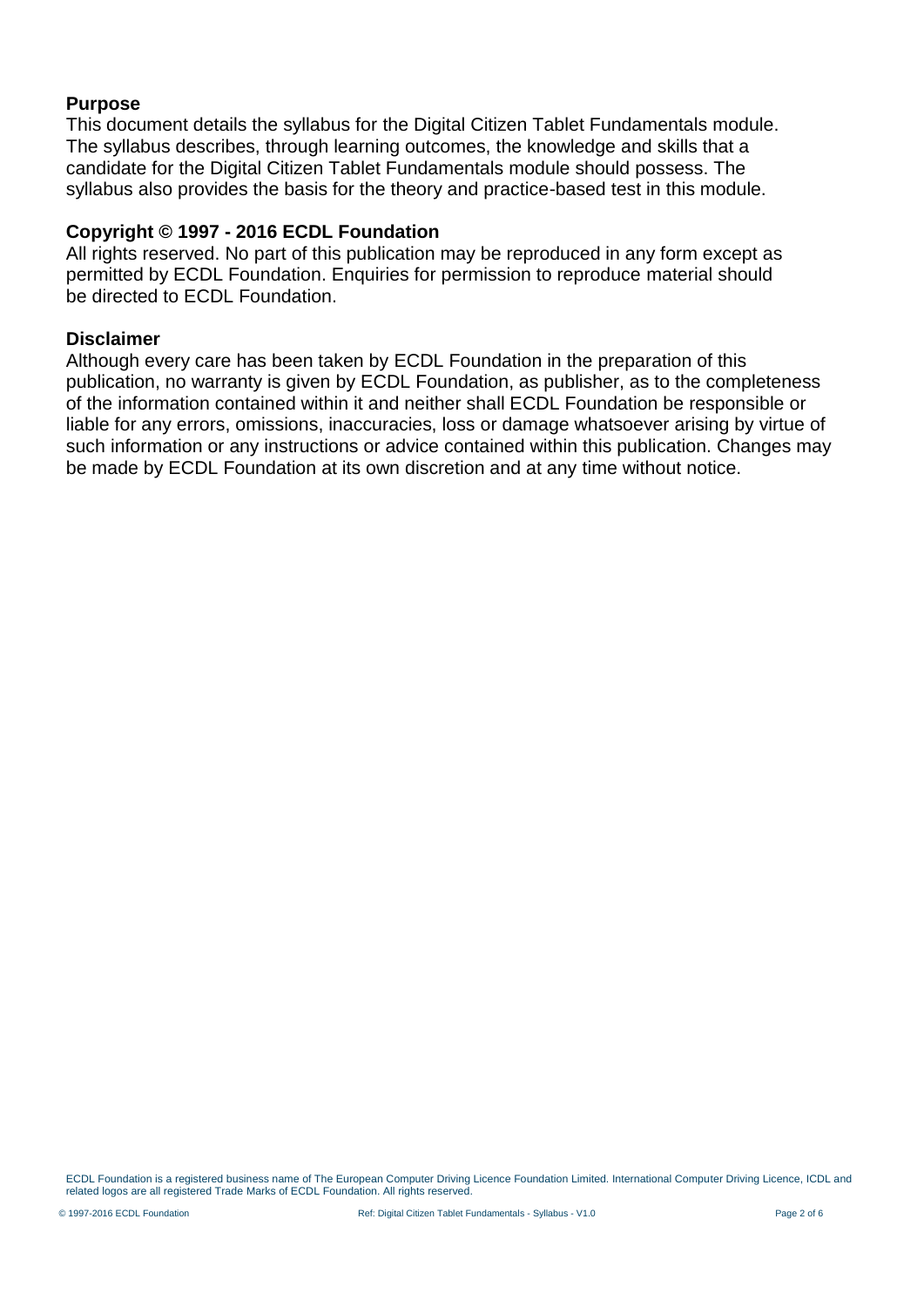#### **Purpose**

This document details the syllabus for the Digital Citizen Tablet Fundamentals module. The syllabus describes, through learning outcomes, the knowledge and skills that a candidate for the Digital Citizen Tablet Fundamentals module should possess. The syllabus also provides the basis for the theory and practice-based test in this module.

#### **Copyright © 1997 - 2016 ECDL Foundation**

All rights reserved. No part of this publication may be reproduced in any form except as permitted by ECDL Foundation. Enquiries for permission to reproduce material should be directed to ECDL Foundation.

#### **Disclaimer**

Although every care has been taken by ECDL Foundation in the preparation of this publication, no warranty is given by ECDL Foundation, as publisher, as to the completeness of the information contained within it and neither shall ECDL Foundation be responsible or liable for any errors, omissions, inaccuracies, loss or damage whatsoever arising by virtue of such information or any instructions or advice contained within this publication. Changes may be made by ECDL Foundation at its own discretion and at any time without notice.

ECDL Foundation is a registered business name of The European Computer Driving Licence Foundation Limited. International Computer Driving Licence, ICDL and related logos are all registered Trade Marks of ECDL Foundation. All rights reserved.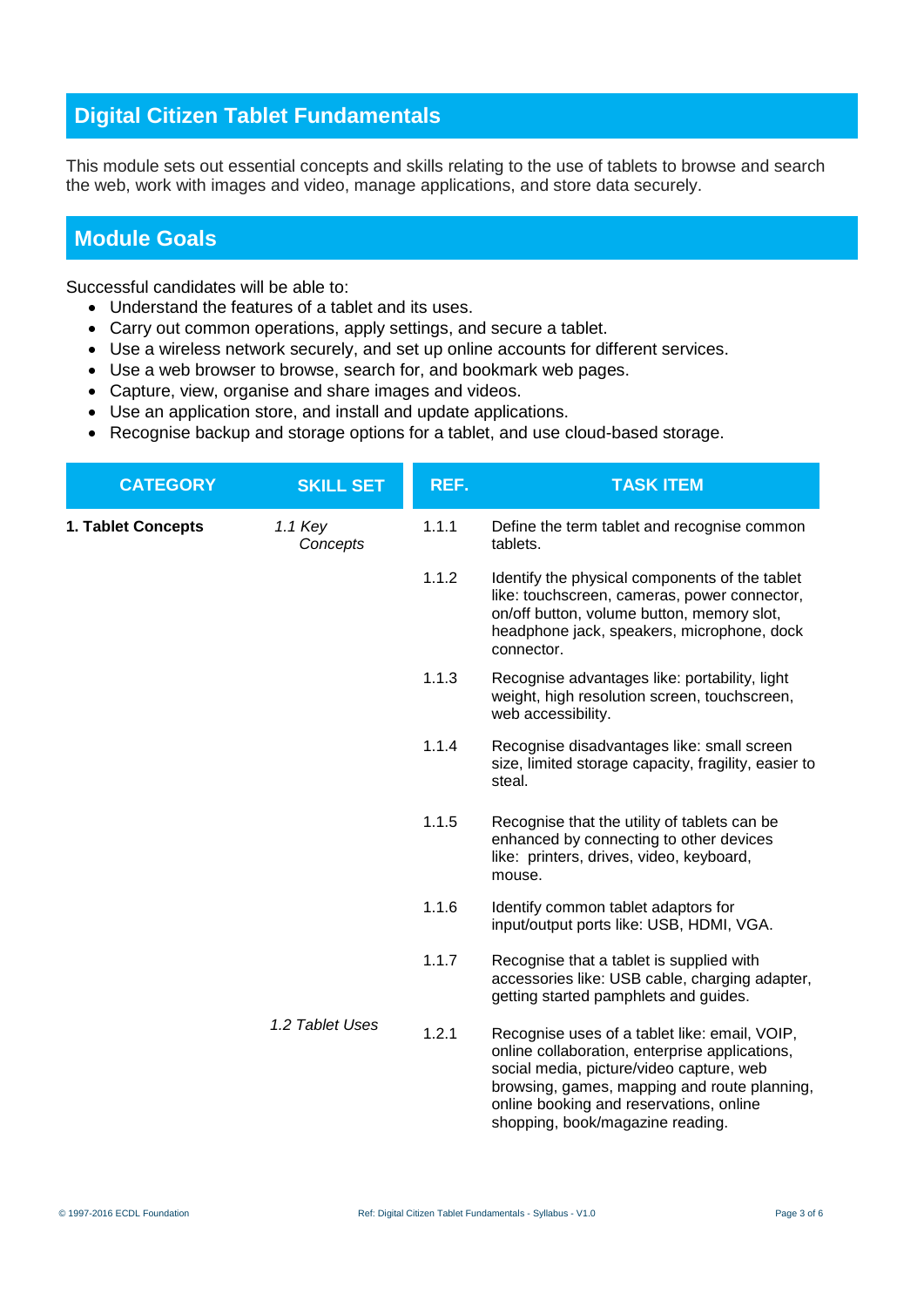## **Digital Citizen Tablet Fundamentals**

This module sets out essential concepts and skills relating to the use of tablets to browse and search the web, work with images and video, manage applications, and store data securely.

### **Module Goals**

Successful candidates will be able to:

- Understand the features of a tablet and its uses.
- Carry out common operations, apply settings, and secure a tablet.
- Use a wireless network securely, and set up online accounts for different services.
- Use a web browser to browse, search for, and bookmark web pages.
- Capture, view, organise and share images and videos.
- Use an application store, and install and update applications.
- Recognise backup and storage options for a tablet, and use cloud-based storage.

| <b>CATEGORY</b>    | <b>SKILL SET</b>    | REF.  | <b>TASK ITEM</b>                                                                                                                                                                                                                                                           |
|--------------------|---------------------|-------|----------------------------------------------------------------------------------------------------------------------------------------------------------------------------------------------------------------------------------------------------------------------------|
| 1. Tablet Concepts | 1.1 Key<br>Concepts | 1.1.1 | Define the term tablet and recognise common<br>tablets.                                                                                                                                                                                                                    |
|                    |                     | 1.1.2 | Identify the physical components of the tablet<br>like: touchscreen, cameras, power connector,<br>on/off button, volume button, memory slot,<br>headphone jack, speakers, microphone, dock<br>connector.                                                                   |
|                    |                     | 1.1.3 | Recognise advantages like: portability, light<br>weight, high resolution screen, touchscreen,<br>web accessibility.                                                                                                                                                        |
|                    |                     | 1.1.4 | Recognise disadvantages like: small screen<br>size, limited storage capacity, fragility, easier to<br>steal.                                                                                                                                                               |
|                    |                     | 1.1.5 | Recognise that the utility of tablets can be<br>enhanced by connecting to other devices<br>like: printers, drives, video, keyboard,<br>mouse.                                                                                                                              |
|                    |                     | 1.1.6 | Identify common tablet adaptors for<br>input/output ports like: USB, HDMI, VGA.                                                                                                                                                                                            |
|                    |                     | 1.1.7 | Recognise that a tablet is supplied with<br>accessories like: USB cable, charging adapter,<br>getting started pamphlets and guides.                                                                                                                                        |
|                    | 1.2 Tablet Uses     | 1.2.1 | Recognise uses of a tablet like: email, VOIP,<br>online collaboration, enterprise applications,<br>social media, picture/video capture, web<br>browsing, games, mapping and route planning,<br>online booking and reservations, online<br>shopping, book/magazine reading. |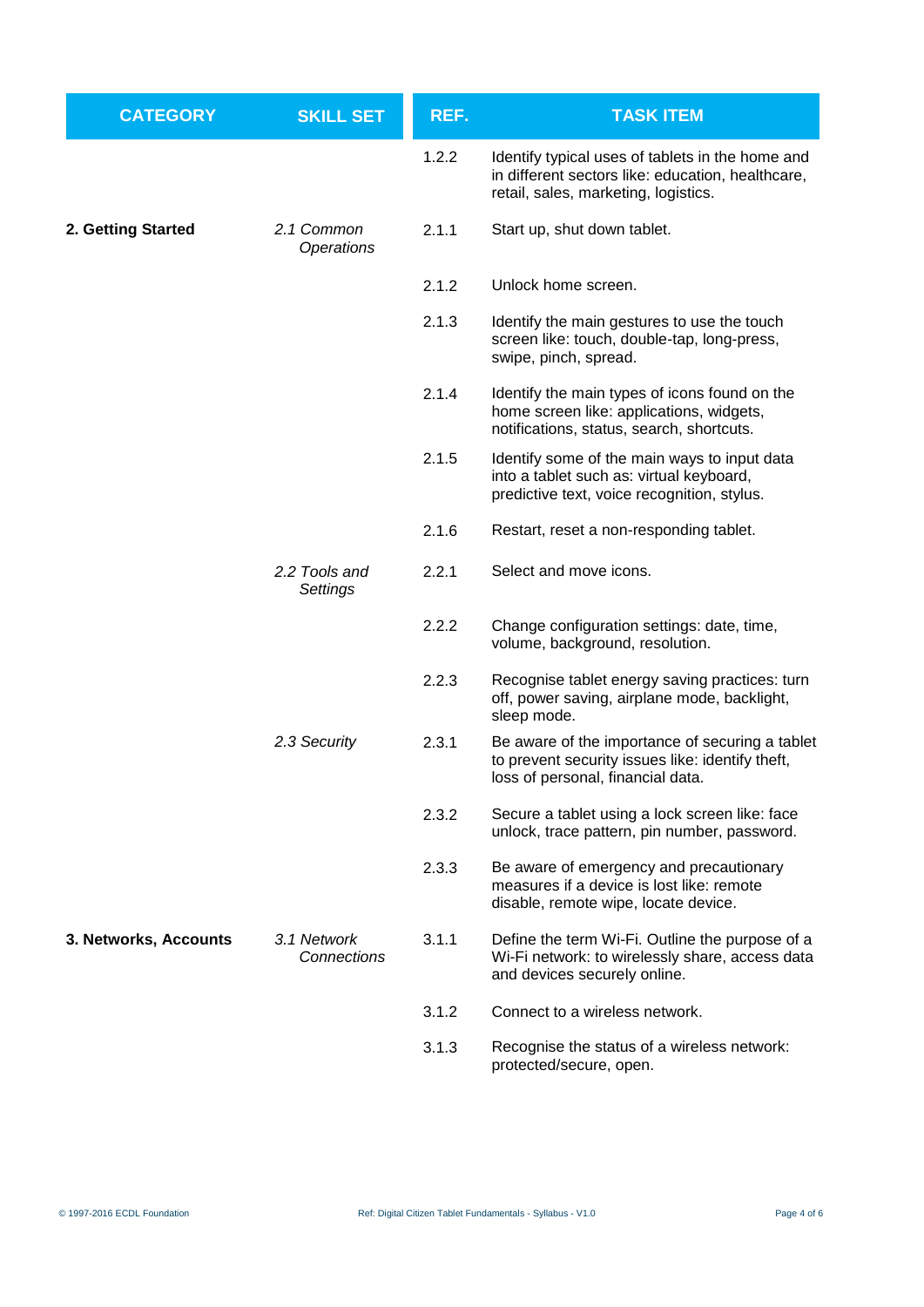| <b>CATEGORY</b>       | <b>SKILL SET</b>           | REF.  | <b>TASK ITEM</b>                                                                                                                              |
|-----------------------|----------------------------|-------|-----------------------------------------------------------------------------------------------------------------------------------------------|
|                       |                            | 1.2.2 | Identify typical uses of tablets in the home and<br>in different sectors like: education, healthcare,<br>retail, sales, marketing, logistics. |
| 2. Getting Started    | 2.1 Common<br>Operations   | 2.1.1 | Start up, shut down tablet.                                                                                                                   |
|                       |                            | 2.1.2 | Unlock home screen.                                                                                                                           |
|                       |                            | 2.1.3 | Identify the main gestures to use the touch<br>screen like: touch, double-tap, long-press,<br>swipe, pinch, spread.                           |
|                       |                            | 2.1.4 | Identify the main types of icons found on the<br>home screen like: applications, widgets,<br>notifications, status, search, shortcuts.        |
|                       |                            | 2.1.5 | Identify some of the main ways to input data<br>into a tablet such as: virtual keyboard,<br>predictive text, voice recognition, stylus.       |
|                       |                            | 2.1.6 | Restart, reset a non-responding tablet.                                                                                                       |
|                       | 2.2 Tools and<br>Settings  | 2.2.1 | Select and move icons.                                                                                                                        |
|                       |                            | 2.2.2 | Change configuration settings: date, time,<br>volume, background, resolution.                                                                 |
|                       |                            | 2.2.3 | Recognise tablet energy saving practices: turn<br>off, power saving, airplane mode, backlight,<br>sleep mode.                                 |
|                       | 2.3 Security               | 2.3.1 | Be aware of the importance of securing a tablet<br>to prevent security issues like: identify theft,<br>loss of personal, financial data.      |
|                       |                            | 2.3.2 | Secure a tablet using a lock screen like: face<br>unlock, trace pattern, pin number, password.                                                |
|                       |                            | 2.3.3 | Be aware of emergency and precautionary<br>measures if a device is lost like: remote<br>disable, remote wipe, locate device.                  |
| 3. Networks, Accounts | 3.1 Network<br>Connections | 3.1.1 | Define the term Wi-Fi. Outline the purpose of a<br>Wi-Fi network: to wirelessly share, access data<br>and devices securely online.            |
|                       |                            | 3.1.2 | Connect to a wireless network.                                                                                                                |
|                       |                            | 3.1.3 | Recognise the status of a wireless network:<br>protected/secure, open.                                                                        |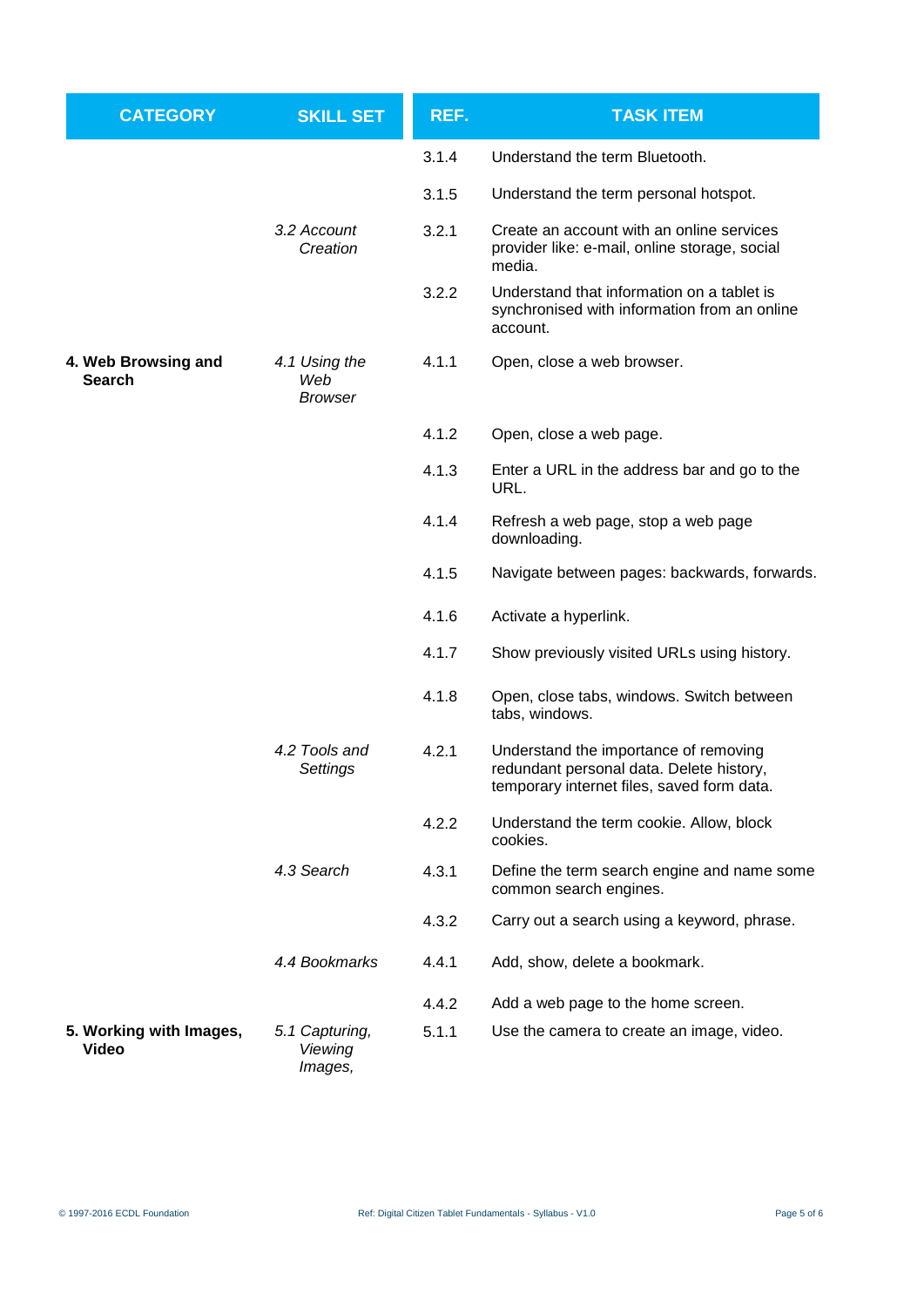| <b>CATEGORY</b>                      | <b>SKILL SET</b>                       | REF.  | <b>TASK ITEM</b>                                                                                                                |
|--------------------------------------|----------------------------------------|-------|---------------------------------------------------------------------------------------------------------------------------------|
|                                      |                                        | 3.1.4 | Understand the term Bluetooth.                                                                                                  |
|                                      |                                        | 3.1.5 | Understand the term personal hotspot.                                                                                           |
|                                      | 3.2 Account<br>Creation                | 3.2.1 | Create an account with an online services<br>provider like: e-mail, online storage, social<br>media.                            |
|                                      |                                        | 3.2.2 | Understand that information on a tablet is<br>synchronised with information from an online<br>account.                          |
| 4. Web Browsing and<br><b>Search</b> | 4.1 Using the<br>Web<br><b>Browser</b> | 4.1.1 | Open, close a web browser.                                                                                                      |
|                                      |                                        | 4.1.2 | Open, close a web page.                                                                                                         |
|                                      |                                        | 4.1.3 | Enter a URL in the address bar and go to the<br>URL.                                                                            |
|                                      |                                        | 4.1.4 | Refresh a web page, stop a web page<br>downloading.                                                                             |
|                                      |                                        | 4.1.5 | Navigate between pages: backwards, forwards.                                                                                    |
|                                      |                                        | 4.1.6 | Activate a hyperlink.                                                                                                           |
|                                      |                                        | 4.1.7 | Show previously visited URLs using history.                                                                                     |
|                                      |                                        | 4.1.8 | Open, close tabs, windows. Switch between<br>tabs, windows.                                                                     |
|                                      | 4.2 Tools and<br>Settings              | 4.2.1 | Understand the importance of removing<br>redundant personal data. Delete history,<br>temporary internet files, saved form data. |
|                                      |                                        | 4.2.2 | Understand the term cookie. Allow, block<br>cookies.                                                                            |
|                                      | 4.3 Search                             | 4.3.1 | Define the term search engine and name some<br>common search engines.                                                           |
|                                      |                                        | 4.3.2 | Carry out a search using a keyword, phrase.                                                                                     |
|                                      | 4.4 Bookmarks                          | 4.4.1 | Add, show, delete a bookmark.                                                                                                   |
|                                      |                                        | 4.4.2 | Add a web page to the home screen.                                                                                              |
| 5. Working with Images,<br>Video     | 5.1 Capturing,<br>Viewing<br>Images,   | 5.1.1 | Use the camera to create an image, video.                                                                                       |